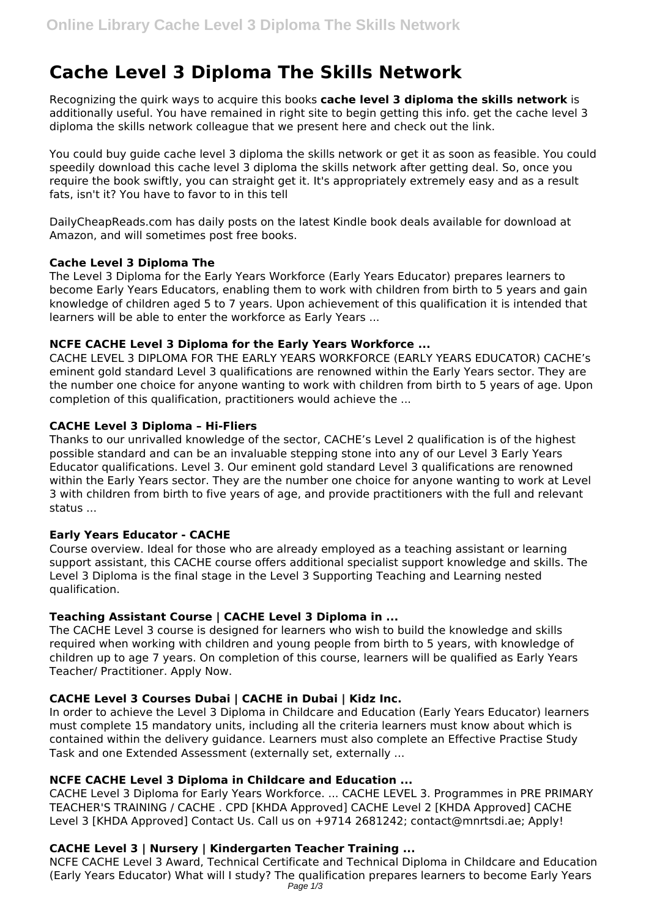# **Cache Level 3 Diploma The Skills Network**

Recognizing the quirk ways to acquire this books **cache level 3 diploma the skills network** is additionally useful. You have remained in right site to begin getting this info. get the cache level 3 diploma the skills network colleague that we present here and check out the link.

You could buy guide cache level 3 diploma the skills network or get it as soon as feasible. You could speedily download this cache level 3 diploma the skills network after getting deal. So, once you require the book swiftly, you can straight get it. It's appropriately extremely easy and as a result fats, isn't it? You have to favor to in this tell

DailyCheapReads.com has daily posts on the latest Kindle book deals available for download at Amazon, and will sometimes post free books.

## **Cache Level 3 Diploma The**

The Level 3 Diploma for the Early Years Workforce (Early Years Educator) prepares learners to become Early Years Educators, enabling them to work with children from birth to 5 years and gain knowledge of children aged 5 to 7 years. Upon achievement of this qualification it is intended that learners will be able to enter the workforce as Early Years ...

# **NCFE CACHE Level 3 Diploma for the Early Years Workforce ...**

CACHE LEVEL 3 DIPLOMA FOR THE EARLY YEARS WORKFORCE (EARLY YEARS EDUCATOR) CACHE's eminent gold standard Level 3 qualifications are renowned within the Early Years sector. They are the number one choice for anyone wanting to work with children from birth to 5 years of age. Upon completion of this qualification, practitioners would achieve the ...

## **CACHE Level 3 Diploma – Hi-Fliers**

Thanks to our unrivalled knowledge of the sector, CACHE's Level 2 qualification is of the highest possible standard and can be an invaluable stepping stone into any of our Level 3 Early Years Educator qualifications. Level 3. Our eminent gold standard Level 3 qualifications are renowned within the Early Years sector. They are the number one choice for anyone wanting to work at Level 3 with children from birth to five years of age, and provide practitioners with the full and relevant status ...

# **Early Years Educator - CACHE**

Course overview. Ideal for those who are already employed as a teaching assistant or learning support assistant, this CACHE course offers additional specialist support knowledge and skills. The Level 3 Diploma is the final stage in the Level 3 Supporting Teaching and Learning nested qualification.

# **Teaching Assistant Course | CACHE Level 3 Diploma in ...**

The CACHE Level 3 course is designed for learners who wish to build the knowledge and skills required when working with children and young people from birth to 5 years, with knowledge of children up to age 7 years. On completion of this course, learners will be qualified as Early Years Teacher/ Practitioner. Apply Now.

# **CACHE Level 3 Courses Dubai | CACHE in Dubai | Kidz Inc.**

In order to achieve the Level 3 Diploma in Childcare and Education (Early Years Educator) learners must complete 15 mandatory units, including all the criteria learners must know about which is contained within the delivery guidance. Learners must also complete an Effective Practise Study Task and one Extended Assessment (externally set, externally ...

# **NCFE CACHE Level 3 Diploma in Childcare and Education ...**

CACHE Level 3 Diploma for Early Years Workforce. ... CACHE LEVEL 3. Programmes in PRE PRIMARY TEACHER'S TRAINING / CACHE . CPD [KHDA Approved] CACHE Level 2 [KHDA Approved] CACHE Level 3 [KHDA Approved] Contact Us. Call us on +9714 2681242; contact@mnrtsdi.ae; Apply!

# **CACHE Level 3 | Nursery | Kindergarten Teacher Training ...**

NCFE CACHE Level 3 Award, Technical Certificate and Technical Diploma in Childcare and Education (Early Years Educator) What will I study? The qualification prepares learners to become Early Years Page 1/3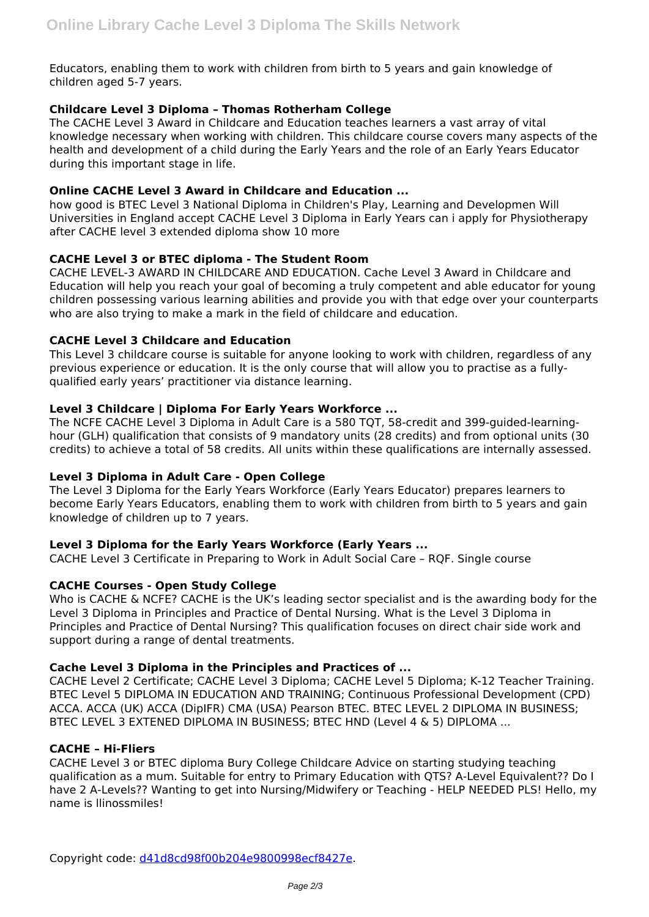Educators, enabling them to work with children from birth to 5 years and gain knowledge of children aged 5-7 years.

## **Childcare Level 3 Diploma – Thomas Rotherham College**

The CACHE Level 3 Award in Childcare and Education teaches learners a vast array of vital knowledge necessary when working with children. This childcare course covers many aspects of the health and development of a child during the Early Years and the role of an Early Years Educator during this important stage in life.

## **Online CACHE Level 3 Award in Childcare and Education ...**

how good is BTEC Level 3 National Diploma in Children's Play, Learning and Developmen Will Universities in England accept CACHE Level 3 Diploma in Early Years can i apply for Physiotherapy after CACHE level 3 extended diploma show 10 more

### **CACHE Level 3 or BTEC diploma - The Student Room**

CACHE LEVEL-3 AWARD IN CHILDCARE AND EDUCATION. Cache Level 3 Award in Childcare and Education will help you reach your goal of becoming a truly competent and able educator for young children possessing various learning abilities and provide you with that edge over your counterparts who are also trying to make a mark in the field of childcare and education.

## **CACHE Level 3 Childcare and Education**

This Level 3 childcare course is suitable for anyone looking to work with children, regardless of any previous experience or education. It is the only course that will allow you to practise as a fullyqualified early years' practitioner via distance learning.

## **Level 3 Childcare | Diploma For Early Years Workforce ...**

The NCFE CACHE Level 3 Diploma in Adult Care is a 580 TQT, 58-credit and 399-guided-learninghour (GLH) qualification that consists of 9 mandatory units (28 credits) and from optional units (30 credits) to achieve a total of 58 credits. All units within these qualifications are internally assessed.

### **Level 3 Diploma in Adult Care - Open College**

The Level 3 Diploma for the Early Years Workforce (Early Years Educator) prepares learners to become Early Years Educators, enabling them to work with children from birth to 5 years and gain knowledge of children up to 7 years.

### **Level 3 Diploma for the Early Years Workforce (Early Years ...**

CACHE Level 3 Certificate in Preparing to Work in Adult Social Care – RQF. Single course

### **CACHE Courses - Open Study College**

Who is CACHE & NCFE? CACHE is the UK's leading sector specialist and is the awarding body for the Level 3 Diploma in Principles and Practice of Dental Nursing. What is the Level 3 Diploma in Principles and Practice of Dental Nursing? This qualification focuses on direct chair side work and support during a range of dental treatments.

### **Cache Level 3 Diploma in the Principles and Practices of ...**

CACHE Level 2 Certificate; CACHE Level 3 Diploma; CACHE Level 5 Diploma; K-12 Teacher Training. BTEC Level 5 DIPLOMA IN EDUCATION AND TRAINING; Continuous Professional Development (CPD) ACCA. ACCA (UK) ACCA (DipIFR) CMA (USA) Pearson BTEC. BTEC LEVEL 2 DIPLOMA IN BUSINESS; BTEC LEVEL 3 EXTENED DIPLOMA IN BUSINESS; BTEC HND (Level 4 & 5) DIPLOMA ...

### **CACHE – Hi-Fliers**

CACHE Level 3 or BTEC diploma Bury College Childcare Advice on starting studying teaching qualification as a mum. Suitable for entry to Primary Education with QTS? A-Level Equivalent?? Do I have 2 A-Levels?? Wanting to get into Nursing/Midwifery or Teaching - HELP NEEDED PLS! Hello, my name is llinossmiles!